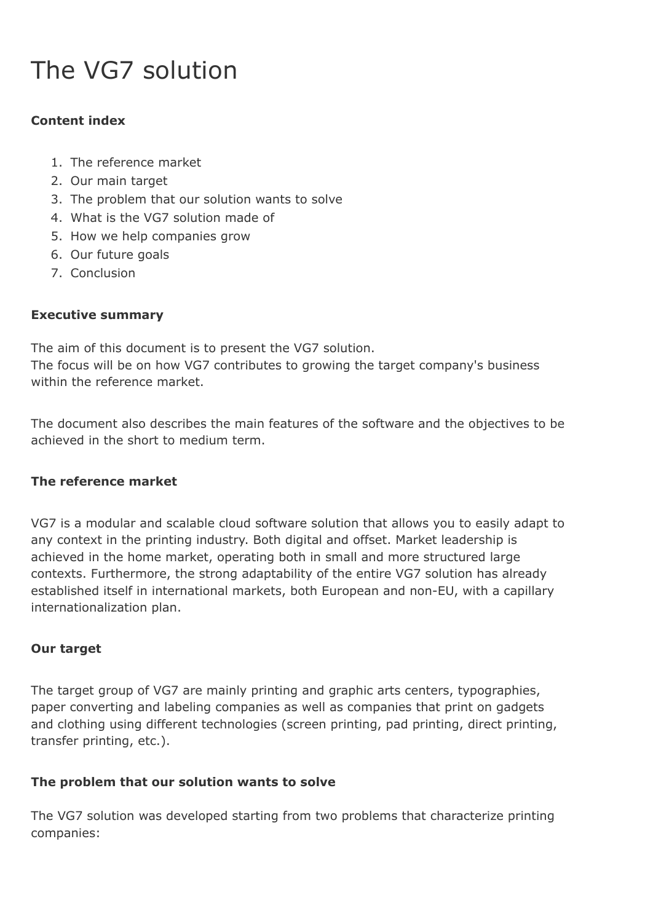# The VG7 solution

# **Content index**

- 1. The reference market
- 2. Our main target
- 3. The problem that our solution wants to solve
- 4. What is the VG7 solution made of
- 5. How we help companies grow
- 6. Our future goals
- 7. Conclusion

# **Executive summary**

The aim of this document is to present the VG7 solution. The focus will be on how VG7 contributes to growing the target company's business within the reference market.

The document also describes the main features of the software and the objectives to be achieved in the short to medium term.

#### **The reference market**

VG7 is a modular and scalable cloud software solution that allows you to easily adapt to any context in the printing industry. Both digital and offset. Market leadership is achieved in the home market, operating both in small and more structured large contexts. Furthermore, the strong adaptability of the entire VG7 solution has already established itself in international markets, both European and non-EU, with a capillary internationalization plan.

#### **Our target**

The target group of VG7 are mainly printing and graphic arts centers, typographies, paper converting and labeling companies as well as companies that print on gadgets and clothing using different technologies (screen printing, pad printing, direct printing, transfer printing, etc.).

#### **The problem that our solution wants to solve**

The VG7 solution was developed starting from two problems that characterize printing companies: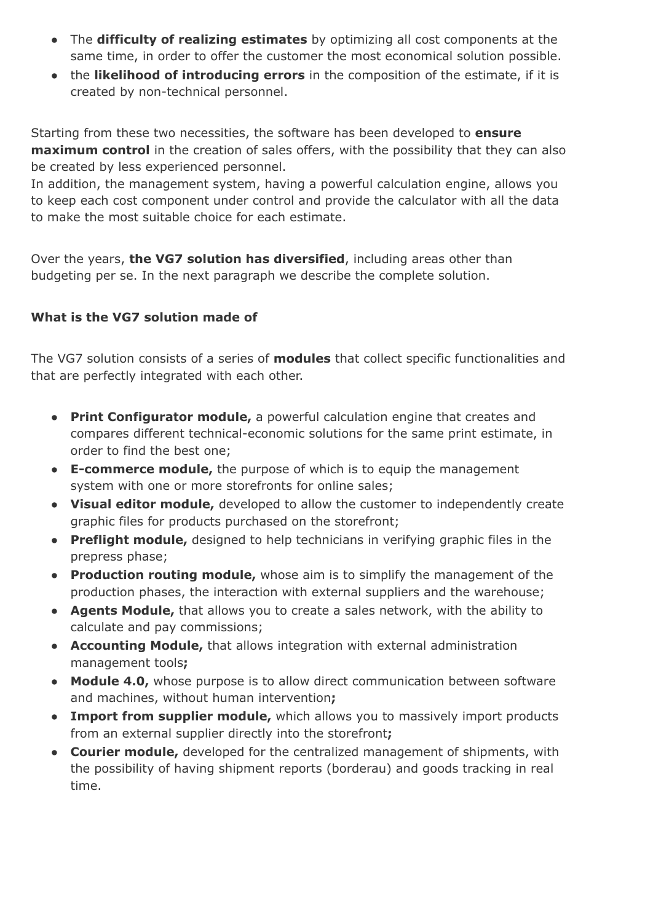- The **difficulty of realizing estimates** by optimizing all cost components at the same time, in order to offer the customer the most economical solution possible.
- the **likelihood of introducing errors** in the composition of the estimate, if it is created by non-technical personnel.

Starting from these two necessities, the software has been developed to **ensure maximum control** in the creation of sales offers, with the possibility that they can also be created by less experienced personnel.

In addition, the management system, having a powerful calculation engine, allows you to keep each cost component under control and provide the calculator with all the data to make the most suitable choice for each estimate.

Over the years, **the VG7 solution has diversified**, including areas other than budgeting per se. In the next paragraph we describe the complete solution.

# **What is the VG7 solution made of**

The VG7 solution consists of a series of **modules** that collect specific functionalities and that are perfectly integrated with each other.

- **Print Configurator module,** a powerful calculation engine that creates and compares different technical-economic solutions for the same print estimate, in order to find the best one;
- **E-commerce module,** the purpose of which is to equip the management system with one or more storefronts for online sales;
- **Visual editor module,** developed to allow the customer to independently create graphic files for products purchased on the storefront;
- **Preflight module,** designed to help technicians in verifying graphic files in the prepress phase;
- **Production routing module,** whose aim is to simplify the management of the production phases, the interaction with external suppliers and the warehouse;
- **Agents Module,** that allows you to create a sales network, with the ability to calculate and pay commissions;
- **Accounting Module,** that allows integration with external administration management tools**;**
- **Module 4.0,** whose purpose is to allow direct communication between software and machines, without human intervention**;**
- **● Import from supplier module,** which allows you to massively import products from an external supplier directly into the storefront**;**
- **Courier module,** developed for the centralized management of shipments, with the possibility of having shipment reports (borderau) and goods tracking in real time.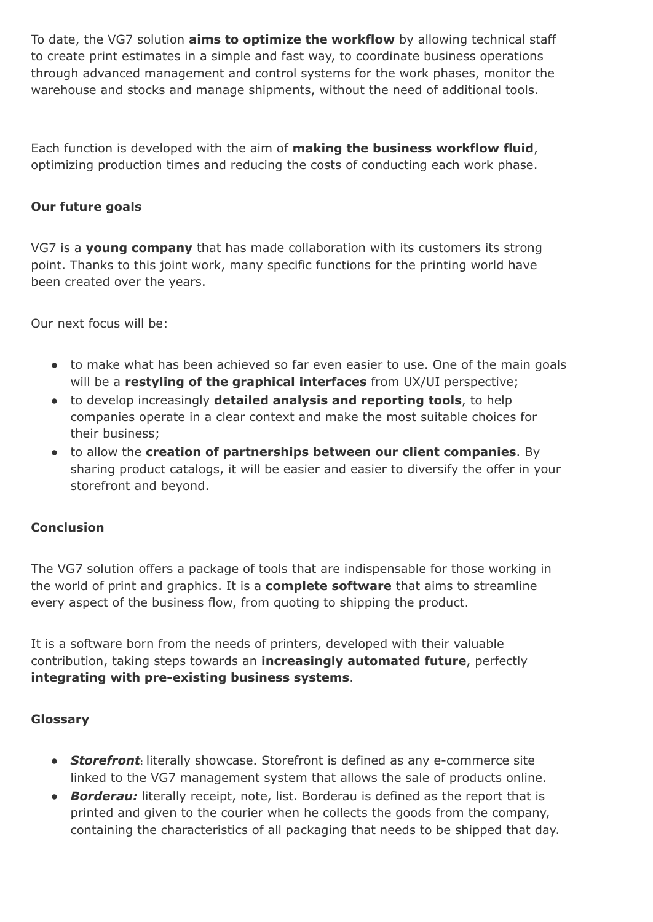To date, the VG7 solution **aims to optimize the workflow** by allowing technical staff to create print estimates in a simple and fast way, to coordinate business operations through advanced management and control systems for the work phases, monitor the warehouse and stocks and manage shipments, without the need of additional tools.

Each function is developed with the aim of **making the business workflow fluid**, optimizing production times and reducing the costs of conducting each work phase.

# **Our future goals**

VG7 is a **young company** that has made collaboration with its customers its strong point. Thanks to this joint work, many specific functions for the printing world have been created over the years.

Our next focus will be:

- to make what has been achieved so far even easier to use. One of the main goals will be a **restyling of the graphical interfaces** from UX/UI perspective;
- to develop increasingly **detailed analysis and reporting tools**, to help companies operate in a clear context and make the most suitable choices for their business;
- to allow the **creation of partnerships between our client companies**. By sharing product catalogs, it will be easier and easier to diversify the offer in your storefront and beyond.

#### **Conclusion**

The VG7 solution offers a package of tools that are indispensable for those working in the world of print and graphics. It is a **complete software** that aims to streamline every aspect of the business flow, from quoting to shipping the product.

It is a software born from the needs of printers, developed with their valuable contribution, taking steps towards an **increasingly automated future**, perfectly **integrating with pre-existing business systems**.

#### **Glossary**

- *Storefront*: literally showcase. Storefront is defined as any e-commerce site linked to the VG7 management system that allows the sale of products online.
- **Borderau:** literally receipt, note, list. Borderau is defined as the report that is printed and given to the courier when he collects the goods from the company, containing the characteristics of all packaging that needs to be shipped that day.